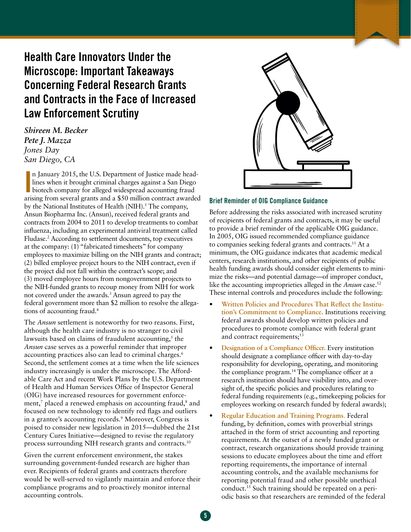# Health Care Innovators Under the Microscope: Important Takeaways Concerning Federal Research Grants and Contracts in the Face of Increased Law Enforcement Scrutiny

*Shireen M. Becker Pete J. Mazza Jones Day San Diego, CA*

n January 2015, the U.S. Department of Justice made headlines when it brought criminal charges against a San Diego<br>biotech company for alleged widespread accounting fraud<br>arising from several grants and a \$50 million contr n January 2015, the U.S. Department of Justice made headlines when it brought criminal charges against a San Diego biotech company for alleged widespread accounting fraud by the National Institutes of Health (NIH).<sup>1</sup> The company, Ansun Biopharma Inc. (Ansun), received federal grants and contracts from 2004 to 2011 to develop treatments to combat influenza, including an experimental antiviral treatment called Fludase.<sup>2</sup> According to settlement documents, top executives at the company: (1) "fabricated timesheets" for company employees to maximize billing on the NIH grants and contract; (2) billed employee project hours to the NIH contract, even if the project did not fall within the contract's scope; and (3) moved employee hours from nongovernment projects to the NIH-funded grants to recoup money from NIH for work not covered under the awards.<sup>3</sup> Ansun agreed to pay the federal government more than \$2 million to resolve the allegations of accounting fraud.4

The *Ansun* settlement is noteworthy for two reasons. First, although the health care industry is no stranger to civil lawsuits based on claims of fraudulent accounting,<sup>5</sup> the *Ansun* case serves as a powerful reminder that improper accounting practices also can lead to criminal charges.<sup>6</sup> Second, the settlement comes at a time when the life sciences industry increasingly is under the microscope. The Affordable Care Act and recent Work Plans by the U.S. Department of Health and Human Services Office of Inspector General (OIG) have increased resources for government enforcement,<sup>7</sup> placed a renewed emphasis on accounting fraud,<sup>8</sup> and focused on new technology to identify red flags and outliers in a grantee's accounting records.9 Moreover, Congress is poised to consider new legislation in 2015—dubbed the 21st Century Cures Initiative—designed to revise the regulatory process surrounding NIH research grants and contracts.<sup>10</sup>

Given the current enforcement environment, the stakes surrounding government-funded research are higher than ever. Recipients of federal grants and contracts therefore would be well-served to vigilantly maintain and enforce their compliance programs and to proactively monitor internal accounting controls.



#### Brief Reminder of OIG Compliance Guidance

Before addressing the risks associated with increased scrutiny of recipients of federal grants and contracts, it may be useful to provide a brief reminder of the applicable OIG guidance. In 2005, OIG issued recommended compliance guidance to companies seeking federal grants and contracts.<sup>11</sup> At a minimum, the OIG guidance indicates that academic medical centers, research institutions, and other recipients of public health funding awards should consider eight elements to minimize the risks—and potential damage—of improper conduct, like the accounting improprieties alleged in the *Ansun* case.12 These internal controls and procedures include the following:

- **Written Policies and Procedures That Reflect the Institution's Commitment to Compliance.** Institutions receiving federal awards should develop written policies and procedures to promote compliance with federal grant and contract requirements;<sup>13</sup>
- **Designation of a Compliance Officer.** Every institution should designate a compliance officer with day-to-day responsibility for developing, operating, and monitoring the compliance program.14 The compliance officer at a research institution should have visibility into, and oversight of, the specific policies and procedures relating to federal funding requirements (e.g., timekeeping policies for employees working on research funded by federal awards);
- **Regular Education and Training Programs**. Federal funding, by definition, comes with proverbial strings attached in the form of strict accounting and reporting requirements. At the outset of a newly funded grant or contract, research organizations should provide training sessions to educate employees about the time and effort reporting requirements, the importance of internal accounting controls, and the available mechanisms for reporting potential fraud and other possible unethical conduct.15 Such training should be repeated on a periodic basis so that researchers are reminded of the federal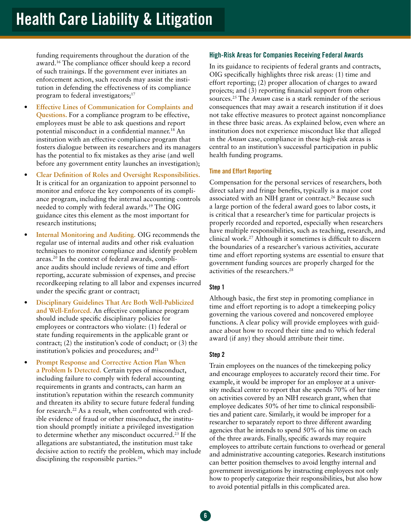funding requirements throughout the duration of the award.16 The compliance officer should keep a record of such trainings. If the government ever initiates an enforcement action, such records may assist the institution in defending the effectiveness of its compliance program to federal investigators;<sup>17</sup>

- **Effective Lines of Communication for Complaints and Questions.** For a compliance program to be effective, employees must be able to ask questions and report potential misconduct in a confidential manner.18 An institution with an effective compliance program that fosters dialogue between its researchers and its managers has the potential to fix mistakes as they arise (and well before any government entity launches an investigation);
- **Clear Definition of Roles and Oversight Responsibilities.**  It is critical for an organization to appoint personnel to monitor and enforce the key components of its compliance program, including the internal accounting controls needed to comply with federal awards.19 The OIG guidance cites this element as the most important for research institutions;
- **Internal Monitoring and Auditing.** OIG recommends the regular use of internal audits and other risk evaluation techniques to monitor compliance and identify problem areas.20 In the context of federal awards, compliance audits should include reviews of time and effort reporting, accurate submission of expenses, and precise recordkeeping relating to all labor and expenses incurred under the specific grant or contract;
- **Disciplinary Guidelines That Are Both Well-Publicized and Well-Enforced.** An effective compliance program should include specific disciplinary policies for employees or contractors who violate: (1) federal or state funding requirements in the applicable grant or contract; (2) the institution's code of conduct; or (3) the institution's policies and procedures; and $21$
- **Prompt Response and Corrective Action Plan When a Problem Is Detected.** Certain types of misconduct, including failure to comply with federal accounting requirements in grants and contracts, can harm an institution's reputation within the research community and threaten its ability to secure future federal funding for research.<sup>22</sup> As a result, when confronted with credible evidence of fraud or other misconduct, the institution should promptly initiate a privileged investigation to determine whether any misconduct occurred.23 If the allegations are substantiated, the institution must take decisive action to rectify the problem, which may include disciplining the responsible parties.<sup>24</sup>

# High-Risk Areas for Companies Receiving Federal Awards

In its guidance to recipients of federal grants and contracts, OIG specifically highlights three risk areas: (1) time and effort reporting; (2) proper allocation of charges to award projects; and (3) reporting financial support from other sources.25 The *Ansun* case is a stark reminder of the serious consequences that may await a research institution if it does not take effective measures to protect against noncompliance in these three basic areas. As explained below, even where an institution does not experience misconduct like that alleged in the *Ansun* case, compliance in these high-risk areas is central to an institution's successful participation in public health funding programs.

#### Time and Effort Reporting

Compensation for the personal services of researchers, both direct salary and fringe benefits, typically is a major cost associated with an NIH grant or contract.<sup>26</sup> Because such a large portion of the federal award goes to labor costs, it is critical that a researcher's time for particular projects is properly recorded and reported, especially when researchers have multiple responsibilities, such as teaching, research, and clinical work.27 Although it sometimes is difficult to discern the boundaries of a researcher's various activities, accurate time and effort reporting systems are essential to ensure that government funding sources are properly charged for the activities of the researchers.28

## Step 1

Although basic, the first step in promoting compliance in time and effort reporting is to adopt a timekeeping policy governing the various covered and noncovered employee functions. A clear policy will provide employees with guidance about how to record their time and to which federal award (if any) they should attribute their time.

#### Step 2

Train employees on the nuances of the timekeeping policy and encourage employees to accurately record their time. For example, it would be improper for an employee at a university medical center to report that she spends 70% of her time on activities covered by an NIH research grant, when that employee dedicates 50% of her time to clinical responsibilities and patient care. Similarly, it would be improper for a researcher to separately report to three different awarding agencies that he intends to spend 50% of his time on each of the three awards. Finally, specific awards may require employees to attribute certain functions to overhead or general and administrative accounting categories. Research institutions can better position themselves to avoid lengthy internal and government investigations by instructing employees not only how to properly categorize their responsibilities, but also how to avoid potential pitfalls in this complicated area.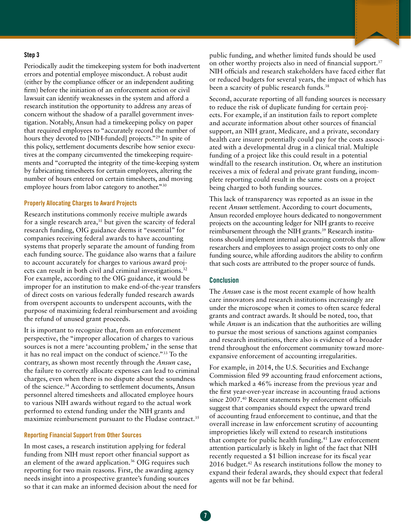#### Step 3

Periodically audit the timekeeping system for both inadvertent errors and potential employee misconduct. A robust audit (either by the compliance officer or an independent auditing firm) before the initiation of an enforcement action or civil lawsuit can identify weaknesses in the system and afford a research institution the opportunity to address any areas of concern without the shadow of a parallel government investigation. Notably, Ansun had a timekeeping policy on paper that required employees to "accurately record the number of hours they devoted to [NIH-funded] projects."<sup>29</sup> In spite of this policy, settlement documents describe how senior executives at the company circumvented the timekeeping requirements and "corrupted the integrity of the time-keeping system by fabricating timesheets for certain employees, altering the number of hours entered on certain timesheets, and moving employee hours from labor category to another."30

#### Properly Allocating Charges to Award Projects

Research institutions commonly receive multiple awards for a single research area, $31$  but given the scarcity of federal research funding, OIG guidance deems it "essential" for companies receiving federal awards to have accounting systems that properly separate the amount of funding from each funding source. The guidance also warns that a failure to account accurately for charges to various award projects can result in both civil and criminal investigations.<sup>32</sup> For example, according to the OIG guidance, it would be improper for an institution to make end-of-the-year transfers of direct costs on various federally funded research awards from overspent accounts to underspent accounts, with the purpose of maximizing federal reimbursement and avoiding the refund of unused grant proceeds.

It is important to recognize that, from an enforcement perspective, the "improper allocation of charges to various sources is not a mere 'accounting problem,' in the sense that it has no real impact on the conduct of science."33 To the contrary, as shown most recently through the *Ansun* case, the failure to correctly allocate expenses can lead to criminal charges, even when there is no dispute about the soundness of the science.34 According to settlement documents, Ansun personnel altered timesheets and allocated employee hours to various NIH awards without regard to the actual work performed to extend funding under the NIH grants and maximize reimbursement pursuant to the Fludase contract.<sup>35</sup>

#### Reporting Financial Support from Other Sources

In most cases, a research institution applying for federal funding from NIH must report other financial support as an element of the award application.<sup>36</sup> OIG requires such reporting for two main reasons. First, the awarding agency needs insight into a prospective grantee's funding sources so that it can make an informed decision about the need for public funding, and whether limited funds should be used on other worthy projects also in need of financial support.<sup>37</sup> NIH officials and research stakeholders have faced either flat or reduced budgets for several years, the impact of which has been a scarcity of public research funds.<sup>38</sup>

Second, accurate reporting of all funding sources is necessary to reduce the risk of duplicate funding for certain projects. For example, if an institution fails to report complete and accurate information about other sources of financial support, an NIH grant, Medicare, and a private, secondary health care insurer potentially could pay for the costs associated with a developmental drug in a clinical trial. Multiple funding of a project like this could result in a potential windfall to the research institution. Or, where an institution receives a mix of federal and private grant funding, incomplete reporting could result in the same costs on a project being charged to both funding sources.

This lack of transparency was reported as an issue in the recent *Ansun* settlement. According to court documents, Ansun recorded employee hours dedicated to nongovernment projects on the accounting ledger for NIH grants to receive reimbursement through the NIH grants.<sup>39</sup> Research institutions should implement internal accounting controls that allow researchers and employees to assign project costs to only one funding source, while affording auditors the ability to confirm that such costs are attributed to the proper source of funds.

## **Conclusion**

The *Ansun* case is the most recent example of how health care innovators and research institutions increasingly are under the microscope when it comes to often scarce federal grants and contract awards. It should be noted, too, that while *Ansun* is an indication that the authorities are willing to pursue the most serious of sanctions against companies and research institutions, there also is evidence of a broader trend throughout the enforcement community toward moreexpansive enforcement of accounting irregularities.

For example, in 2014, the U.S. Securities and Exchange Commission filed 99 accounting fraud enforcement actions, which marked a 46% increase from the previous year and the first year-over-year increase in accounting fraud actions since 2007.<sup>40</sup> Recent statements by enforcement officials suggest that companies should expect the upward trend of accounting fraud enforcement to continue, and that the overall increase in law enforcement scrutiny of accounting improprieties likely will extend to research institutions that compete for public health funding.<sup>41</sup> Law enforcement attention particularly is likely in light of the fact that NIH recently requested a \$1 billion increase for its fiscal year 2016 budget.<sup>42</sup> As research institutions follow the money to expand their federal awards, they should expect that federal agents will not be far behind.